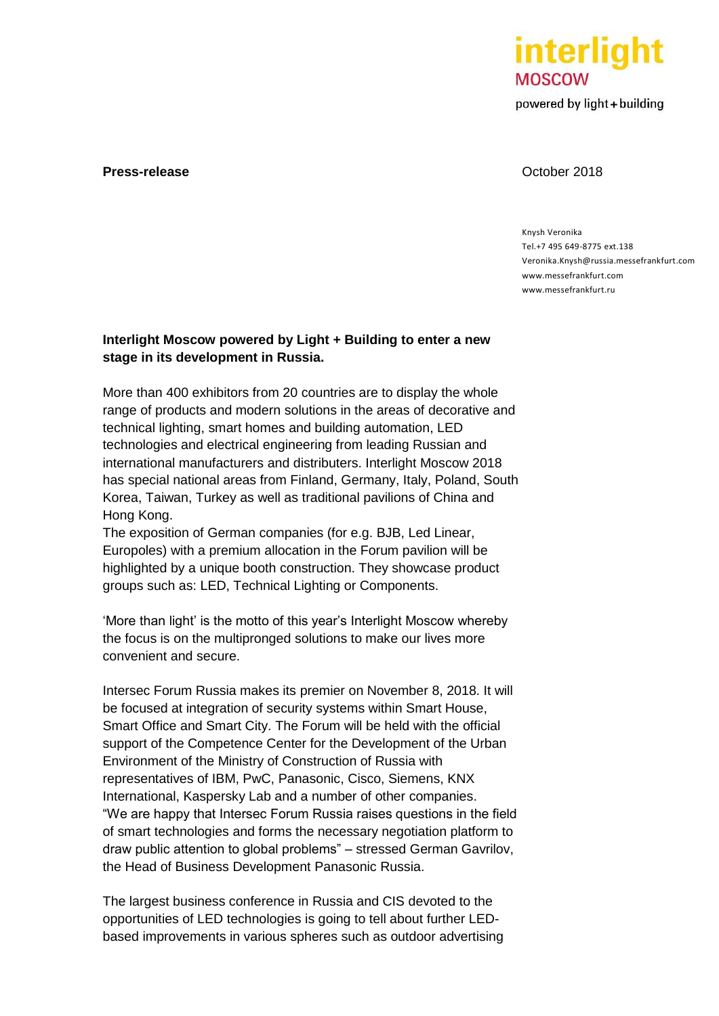

powered by light + building

### **Press-release October 2018**

### Knysh Veronika Tel.+7 495 649-8775 ext.138 Veronika.Knysh@russia.messefrankfurt.com [www.messefrankfurt.com](http://www.messefrankfurt.com/) [www.messefrankfurt.ru](http://www.messefrankfurt.ru/)

# **Interlight Moscow powered by Light + Building to enter a new stage in its development in Russia.**

More than 400 exhibitors from 20 countries are to display the whole range of products and modern solutions in the areas of decorative and technical lighting, smart homes and building automation, LED technologies and electrical engineering from leading Russian and international manufacturers and distributers. Interlight Moscow 2018 has special national areas from Finland, Germany, Italy, Poland, South Korea, Taiwan, Turkey as well as traditional pavilions of China and Hong Kong.

The exposition of German companies (for e.g. BJB, Led Linear, Europoles) with a premium allocation in the Forum pavilion will be highlighted by a unique booth construction. They showcase product groups such as: LED, Technical Lighting or Components.

'More than light' is the motto of this year's Interlight Moscow whereby the focus is on the multipronged solutions to make our lives more convenient and secure.

Intersec Forum Russia makes its premier on November 8, 2018. It will be focused at integration of security systems within Smart House, Smart Office and Smart City. The Forum will be held with the official support of the Competence Center for the Development of the Urban Environment of the Ministry of Construction of Russia with representatives of IBM, PwC, Panasonic, Cisco, Siemens, KNX International, Kaspersky Lab and a number of other companies. "We are happy that Intersec Forum Russia raises questions in the field of smart technologies and forms the necessary negotiation platform to draw public attention to global problems" – stressed German Gavrilov, the Head of Business Development Panasonic Russia.

The largest business conference in Russia and CIS devoted to the opportunities of LED technologies is going to tell about further LEDbased improvements in various spheres such as outdoor advertising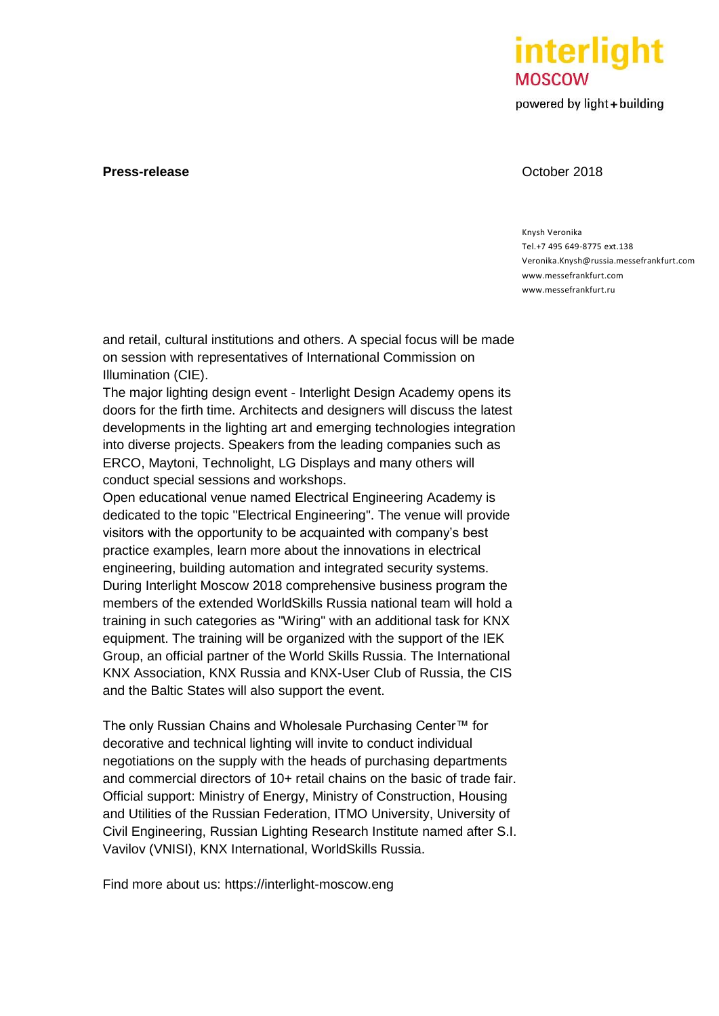

powered by light + building

### **Press-release October 2018**

### Knysh Veronika Tel.+7 495 649-8775 ext.138 Veronika.Knysh@russia.messefrankfurt.com [www.messefrankfurt.com](http://www.messefrankfurt.com/) [www.messefrankfurt.ru](http://www.messefrankfurt.ru/)

and retail, cultural institutions and others. A special focus will be made on session with representatives of International Commission on Illumination (CIE).

The major lighting design event - Interlight Design Academy opens its doors for the firth time. Architects and designers will discuss the latest developments in the lighting art and emerging technologies integration into diverse projects. Speakers from the leading companies such as ERCO, Maytoni, Technolight, LG Displays and many others will conduct special sessions and workshops.

Open educational venue named Electrical Engineering Academy is dedicated to the topic "Electrical Engineering". The venue will provide visitors with the opportunity to be acquainted with company's best practice examples, learn more about the innovations in electrical engineering, building automation and integrated security systems. During Interlight Moscow 2018 comprehensive business program the members of the extended WorldSkills Russia national team will hold a training in such categories as "Wiring" with an additional task for KNX equipment. The training will be organized with the support of the IEK Group, an official partner of the World Skills Russia. The International KNX Association, KNX Russia and KNX-User Club of Russia, the CIS and the Baltic States will also support the event.

The only Russian Chains and Wholesale Purchasing Center™ for decorative and technical lighting will invite to conduct individual negotiations on the supply with the heads of purchasing departments and commercial directors of 10+ retail chains on the basic of trade fair. Official support: Ministry of Energy, Ministry of Construction, Housing and Utilities of the Russian Federation, ITMO University, University of Civil Engineering, Russian Lighting Research Institute named after S.I. Vavilov (VNISI), KNX International, WorldSkills Russia.

Find more about us: https://interlight-moscow.eng